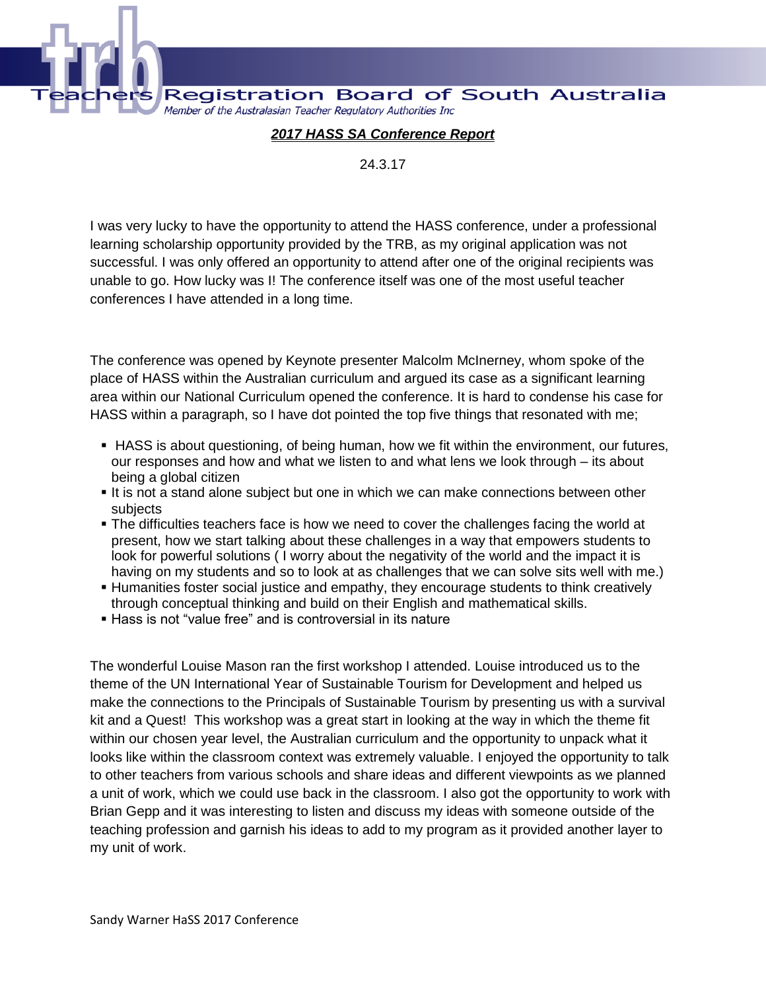**Registration Board of South Australia** Member of the Australasian Teacher Regulatory Authorities Inc

## *2017 HASS SA Conference Report*

24.3.17

I was very lucky to have the opportunity to attend the HASS conference, under a professional learning scholarship opportunity provided by the TRB, as my original application was not successful. I was only offered an opportunity to attend after one of the original recipients was unable to go. How lucky was I! The conference itself was one of the most useful teacher conferences I have attended in a long time.

The conference was opened by Keynote presenter Malcolm McInerney, whom spoke of the place of HASS within the Australian curriculum and argued its case as a significant learning area within our National Curriculum opened the conference. It is hard to condense his case for HASS within a paragraph, so I have dot pointed the top five things that resonated with me;

- HASS is about questioning, of being human, how we fit within the environment, our futures, our responses and how and what we listen to and what lens we look through – its about being a global citizen
- It is not a stand alone subject but one in which we can make connections between other subjects
- **The difficulties teachers face is how we need to cover the challenges facing the world at** present, how we start talking about these challenges in a way that empowers students to look for powerful solutions ( I worry about the negativity of the world and the impact it is having on my students and so to look at as challenges that we can solve sits well with me.)
- Humanities foster social justice and empathy, they encourage students to think creatively through conceptual thinking and build on their English and mathematical skills.
- **Hass is not "value free" and is controversial in its nature**

The wonderful Louise Mason ran the first workshop I attended. Louise introduced us to the theme of the UN International Year of Sustainable Tourism for Development and helped us make the connections to the Principals of Sustainable Tourism by presenting us with a survival kit and a Quest! This workshop was a great start in looking at the way in which the theme fit within our chosen year level, the Australian curriculum and the opportunity to unpack what it looks like within the classroom context was extremely valuable. I enjoyed the opportunity to talk to other teachers from various schools and share ideas and different viewpoints as we planned a unit of work, which we could use back in the classroom. I also got the opportunity to work with Brian Gepp and it was interesting to listen and discuss my ideas with someone outside of the teaching profession and garnish his ideas to add to my program as it provided another layer to my unit of work.